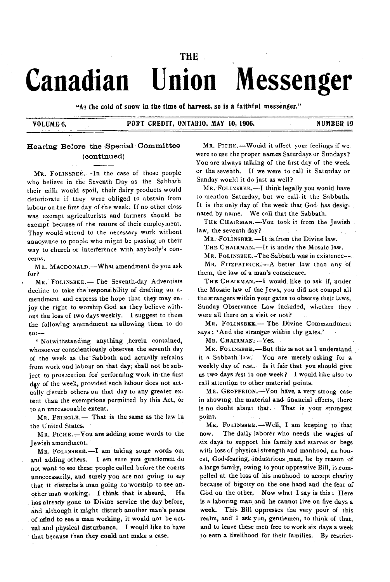# **THE**

# **Canadian Union Messenger**

"As the cold of snow in the time of harvest, so is a faithful messenger."

# VOLUME 6. PORT CREDIT, ONTARIO, MAY 10, 1906. NUMBER 19

## Hearing Before the Special Committee (continued)

MR. FOLINSBER.—In the case of those people who believe in the Seventh Day as the Sabbath their milk would spoil, their dairy products would deteriorate if they were obliged to abstain from labour on the first day of the week. If no other class was exempt agriculturists and farmers should be exempt because of the nature of their employment. They would attend to the necessary work without annoyance to people who might be passing on their way to church or interference with anybody's concerns.

MR. MACDONALD.—What amendment do you ask for?

MR. FOLINSBEE. - The Seventh-day Adventists decline to take the responsibility of drafting an amendment and express the hope that they may enjoy the right to worship God as they believe without the loss of two days weekly. I suggest to them the following amendment as allowing them to do so:—

Notwithstanding anything herein contained, whosoever conscientiously observes the seventh day of the week as the-Sabbath and actually refrains from work and labour on that day; shall not be subject to prosecution for performing work in the first day of the week, provided such labour does not actually disturb others on that day to any greater extent than the exemptions permitted by this Act, or to an unreasonable extent.

MR. PRINGLE.— That is the same as the law in the United States.

MR. PICHE.—You are adding some words to the Jewish amendment.

MR. FOLINSBEE.—I am taking some words out and adding others. I am sure you gentlemen do not want to see these people called before the courts unnecessarily, and surely you are not going to say that it disturbs a man going to worship to see another man working. I think that is absurd, He has already gone to Divine service the day before, and although it might disturb another man's peace. of mind to see a man working, it would not be actual and physical disturbance. I would like to have that because then they could not make a case.

MR. PICHE.—Would it affect your feelings if we were to use the proper names Saturdays or Sundays? You are always talking of the first day of the week or the seventh. If we were to call it Saturday or Sunday would it do just as well?

MR. FOLINSBEE.—I think legally you would have to mention Saturday, but we call it the Sabbath. It is the only day of the week that God has desig- . nated by name. We call that the Sabbath.

THE CHAIRMAN.—YOU took it from the Jewish law, the seventh day?

MR. FOLINSBEE.-It is from the Divine law.

THE CHAIRMAN.—It is under the Mosaic law.

MR. FOLINSBEE.-The Sabbath was in existence--. MR. FITZPATRICK.-A better law than any of them, the law of a man's conscience.

THE CHAIRMAN.—I would like to ask if, under the Mosaic law of the Jews, you did not compel all the strangers within your gates to observe their laws, Sunday Observance Law included, whether they were all there on a visit or not?

MR. FOLINSBEE.— The Divine Commandment says : 'And the stranger within thy gates.'

MR. CHAIRMAN. -- Yes.

MR. FOLINSBEE.-But this is not as I understand it a Sabbath law. You are merely asking for a weekly day of rest. Is it fair that you should give us two days rest in one week? I would like also to call attention to other material points.

MR. GEOFFRION.—YOU have, a very strong case in showing. the material and financial effects, there is no doubt about that. That is your strongest point.

Mk. FOLINSBEE.—Well, I am keeping to that now. The daily laborer who needs the wages of six days to support his family and starves or begs with loss of physical strength and manhood, an honest, God-fearing, industrious man, he by reason of a large family, owing to your oppressive Bill, is compelled at the loss of his manhood to accept charity because of bigotry on the one hand and the fear of God on the other. Now what I say is this: Here is a laboring man and he cannot live on five days a week. This Bill oppresses the very poor of this realm, and I ask you, gentlemen, to think of that, and to leave these men free to work six days a week to earn a livelihood for their families. By restrict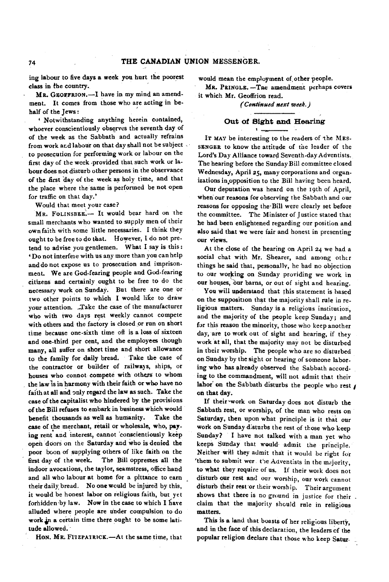ing labour to five days a week you hurt the poorest class in the country.

**MR. GEOEFRION.—I** have in my mind an amendment. It comes from those who are acting in behalf of the Jews :

• Notwithstanding anything herein contained, whoever conscientiously observes the seventh day of of the week as the Sabbath and actually refrains from work and labour on that day shall not be subject. to prosecution for performing work or labour on the first day of the week provided that such work or labour does not disturb other persons in the observance of the first day of the week as holy time, and that the place where the same is performed be not open for traffic on that day.'

Would that meet your case?

**MR. FOLINSBEE.—** It would bear hard on the small merchants who wanted to supply men of their own faith with some little necessaries. I think they ought to be free to do that. However, I do not pretend to advise you gentlemen. What I say is this: Do not interfere with us any more than you can help and do not expose **us** to prosecution and imprisonment. We are God-fearing people and God-fearing citizens and certainly ought to be free to do the necessary work on Sunday. But there are one or two other points to which I would like to draw your attention. —Take the case of the manufacturer who with two days rest weekly cannot compete with others and the factory is closed or run on short time because one-sixth time oft is a loss of sixteen and one-third per cent, and the employees though many, all suffer on short time and short allowance to the family for daily bread. Take the case of the contractor or builder of railways, ships, or houses who connot compete with others to whom the law is in harmony with their faith or who have no faith at all and only regard the law as such. Take *the*  case of the capitalist who hindered by the provisions of the Bill refuses to embark in business which would benefit thousands as well as humanity. Take the case of the merchant, retail or wholesale, who, paying rent and interest, cannot 'conscientiously keep open doors on the Saturday and Who is denied the poor boon of supplying others of like faith on the first day of the week. The Bill oppresses all the indoor avocations, the taylor, seamstress, office hand and all who labour at home for a pittance to earn their daily, bread. No one would be injured by this, it would be honest labor on religious faith, but yet forbidden 'by law. Now in the case to which I have alluded where people are under compulsion to do work in a certain time there ought to be some latitude allowed.

**HON. MR. FilZPAIR1CK.—At** the same time, that

would mean the employment of,other people.

**MR.** PRINGLE. —The amendment perhaps covers it which Mr. Geoffrion read.

*(Continued next week.)* 

## **Out of Sight and Hearing**

 $\blacksquare$ 

**IT MAY** be interesting to the readers of the **MES-SENGER** to know the attitude of the leader of the Lord's Day Alliance toward Seventh-day Adventists. The hearing before the Sunday Bill committee closed Wednesday, April 25, many corporations and organizations in opposition to the Bill having been heard.

Our deputation was heard on the 19th of April, when our reasons for observing the Sabbath and our reasons for opposing the-Bill were clearly set before the committee. The Minister of Justice stated that he had been enlightened regarding our position and also said that we were fair and honest in presenting our views.

At the close of the hearing on April 24 we had a social chat with Mr. Shearer, and among other things he said that, personally, he had no objection to our working on Sunday providing we work in our houses, our barns, or out of sight and hearing.

You will understand that this statement is based on the supposition that the majority shall rule in religious matters. Sunday is a religious institution, and the majority of the people keep Sunday; and for this reason the minority, those who keep another day, are to work out of sight and hearing, if they work at all, that the majority may not be disturbed in their worship. The people who are so disturbed on Sunday by the sight or hearing of someone laboring who has already observed the Sabbath according to the commandment, will not admit that their lahor on the Sabbath disturbs the people who rest  $\boldsymbol{\mu}$ on that day.

If their -work on Saturday does not disturb the Sabbath rest, or worship, of the man who rests on Saturday, then upon what principle is it that our work on Sunday disturbs the rest of those who keep Sunday? I have not talked with a man yet who keeps Sunday that would admit the principle. Neither will they admit that it would be right for 'them to submit wer. the Adventists in the majority, to what they require of us. If their work does not disturb our rest and our worship, our work cannot disturb their rest or their worship. Their argument shows that there is no ground in justice for their . claim that the majority should rule in religious matters.

This is a land that boasts of her religious liberty, and in the face of this declaration, the leaders of the popular religion declare that those who keep Satur.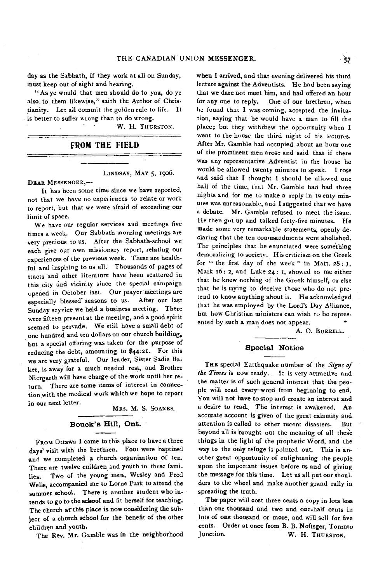day as the Sabbath, if they work at all on Sunday, must keep out of sight and hearing.

"As ye would that men should do to you, do ye also to them likewise," saith the Author of Christianity. Let all commit the golden rule to life. It is better to suffer wrong than to do wrong.

W. H. THURSTON.

# **FROM THE FIELD**

LINDSAY, MAY **5,** 1906.

DEAR MESSENGER,-

It has been some time since we have reported, not that we have no experiences to relate or work to report, but that we were afraid of exceeding our limit of space.

We have our regular services and meetings five times a week. Our Sabbath morning meetings are very precious to us. After the Sabbath-school we each give our own missionary report, relating our experiences of the previous week. These are healthful and inspiring to us all. Thousands of pages of ttacts and other literature have been scattered in this city and vicinity since the special campaign opened in October last. Our prayer meetings are especially blessed seasons to us. After our last Sunday seyvice we held a business meeting. There were fifteen present at the meeting, and a good spirit seemed to pervade. We still have a small debt of one hundred and ten dollars on our church building, but a special offering was taken for the purpose of reducing the debt, amounting to \$44:21. For this we are very grateful. Our leader, Sister Sadie Baker, is away for a much needed rest, and Brother Niergarth will have charge of the work until her return. There are some items of interest in connection with the medical work which we hope to report in our next letter.

MRS. M. S. SOANES.

#### **Bouok's Hill, Ont.**

FROM Ottawa I came to this place to have a three days' visit with the brethren. Fout were baptized and we completed a church organization of ten. There are twelve cnildren and youth in these families. Two of the young men, Wesley and Fred Wells, accompanied me to Lorne Park to attend the summer school. There is another student who intends to go to the school and fit herself for teaching. The church at this place is now considering the subject of a church school for the benefit of the other children and youth.

The Rev. Mr. Gamble was in the neighborhood

when I arrived, and that evening delivered his third lecture against the Adventists. He had been saying that we dare not meet him, and had offered an hour for any one to reply. One of our brethren, when he found that I was coming, accepted the invitation, saying that he would have a man to fill the place; but they withdrew the opportunity when I went to the house the third night of his lectures. After Mr. Gamble had occupied about an hour one of the prominent men arose and said that if there was any representative Adventist in the house he would be allowed twenty minutes to speak. I rose and said that I thought I should be allowed one half of the time, that Mr. Gamble had had three nights and for me to make a reply in twenty minutes was unreasonable, and I suggested that we have a debate. Mr. Gamble refused to meet the issue. He then got up and talked forty-five minutes. He made some very remarkable statements, openly declaring that the ten commandments were abolished. The principles that he enunciated were something demoralizing to society. His criticism on the Greek for " the first day of the week " in Matt.  $28: J$ , Mark 16 : 2, and Luke 24: I, showed to me either that he knew nothing of the Greek himself, or else that he is trying to deceive those who do not pretend to know anything about it. He acknowledged that he was employed by the Lord's Day Alliance, but how Christian ministers can wish to be represented by such a man does not appear.

A. 0. BURRILL.

#### **Special Notice**

**THE** special Earthquake number of the *Signs of the Times* is now ready. It is very attractive and the matter is of such general interest that the people will read every-word from beginning to end. You will not have to stop and create an interest and a desire to read. The interest is awakened. An accurate account is given of the great calamity and attention is called to other recent disasters. But beyond all is brought out the meaning of all these things in the light of the prophetic Word, and the way to the only refuge is pointed out. This is another great opportunity of enlightening the people upon the important issues before us and of giving the message for this time. Let us all put our shoul. ders to the wheel and make another grand rally in spreading the truth.

The paper will cost three cents a copy in lots less than one thousand and two and one-half cents in lots of one thousand or more, and will sell for five cents. Order at once from B. B. Noftsger, Toronto Junction. W. H. THURSTON.